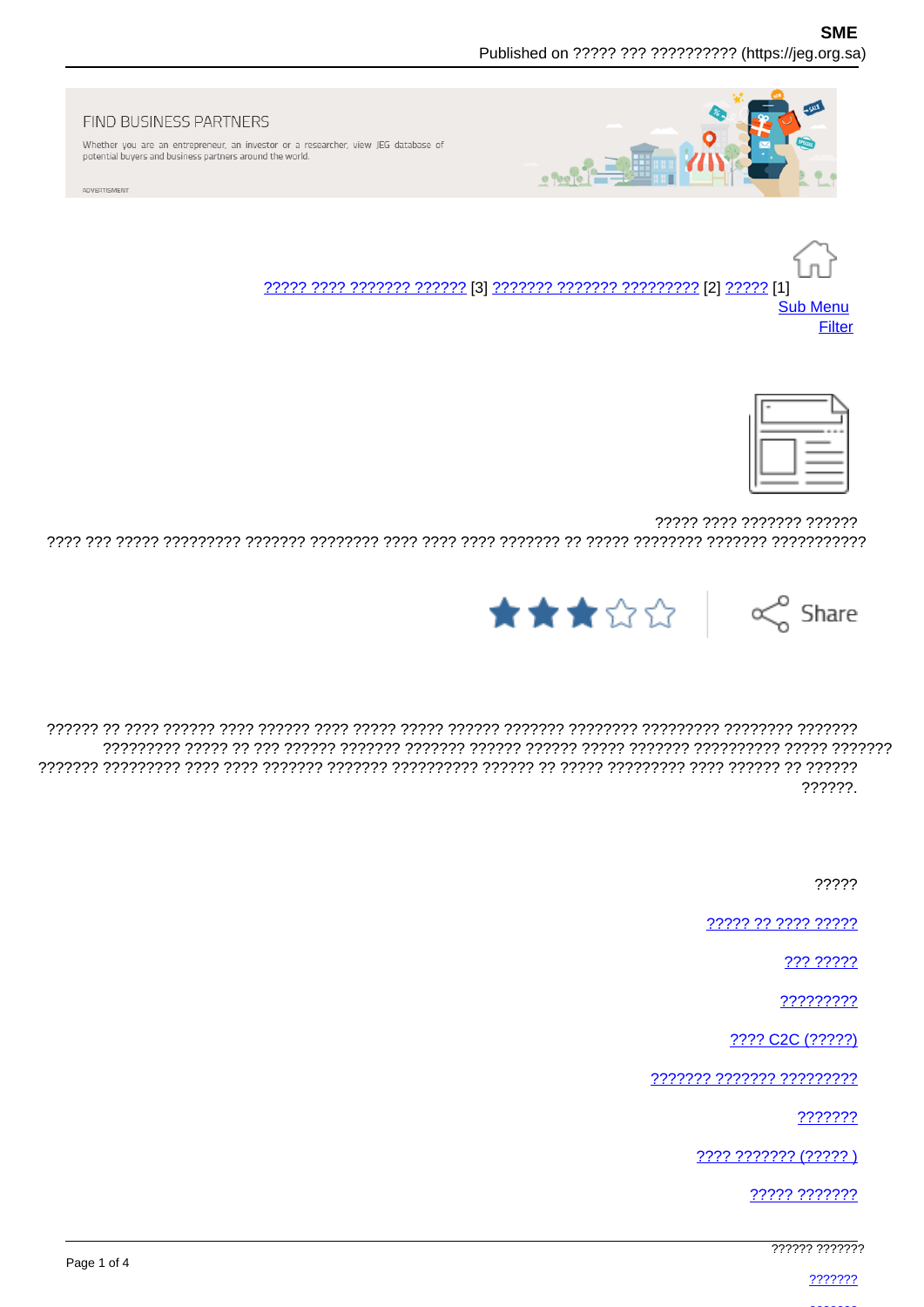

## FIND BUSINESS PARTNERS

Whether you are an entrepreneur, an investor or a researcher, view JEG database of potential buyers and business partners around the world.

ADVERTISMENT

11] ????? [2] ?????? ?????? [3] ??????? ??????? ????????? [2] ????? [1] **Sub Menu** Filter



????? ???? ??????? ?????? 



??????

?????

????? ?? ???? ?????

??? ?????

?????????

???? C2C (?????)

7777777 7777777 777777777

???????

???? ??????? (????? )

????? ???????

777777 7777777

2222222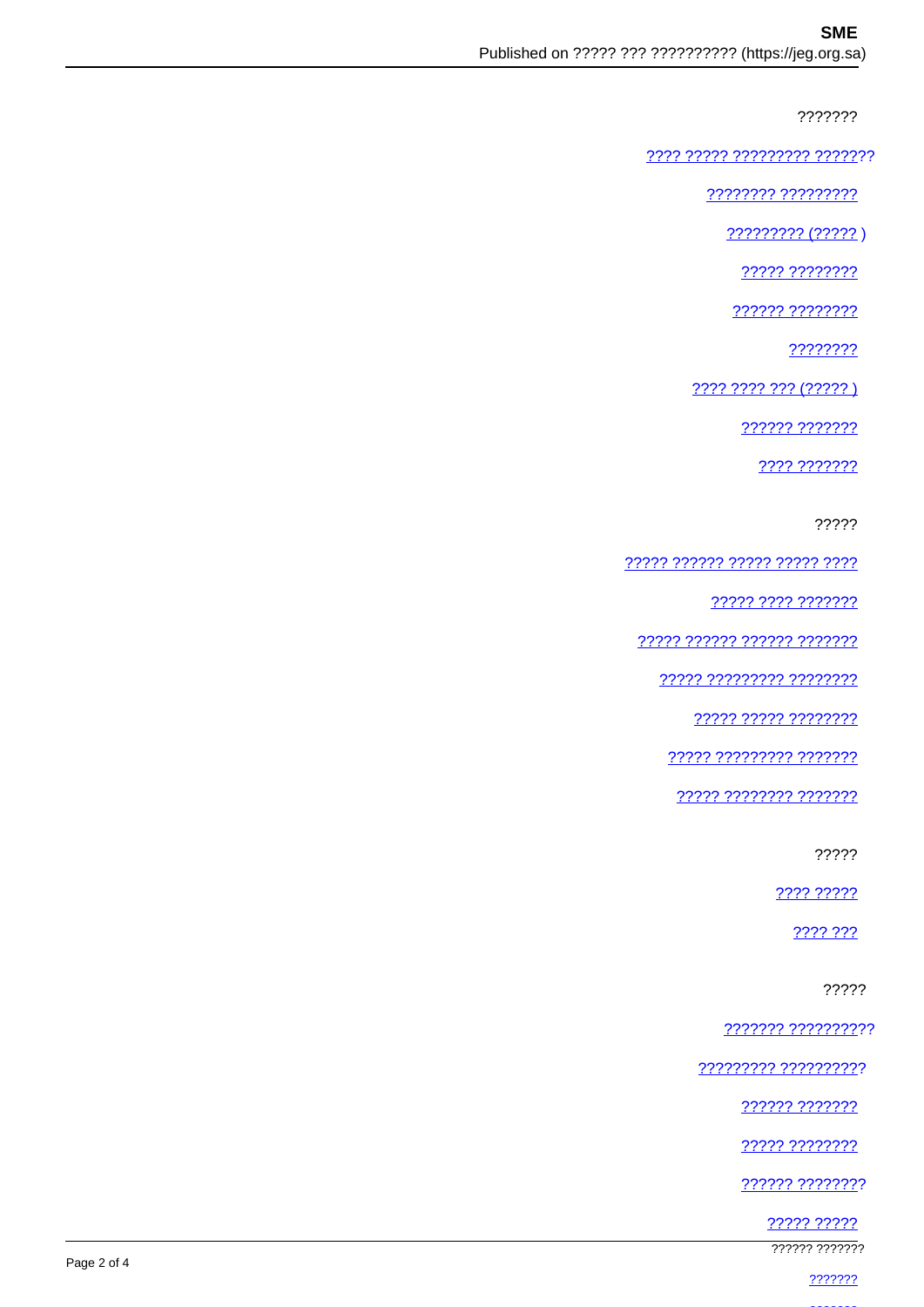## **SME**

???????

<u> ???? ????? ????????? ???????</u>

77777777 777777777

 $????????? (?????)$ 

????? ????????

<u> ?????? ????????</u>

????????

???? ???? ??? (????? )

222222 2222222

???? ???????

?????

77777 777777 77777 77777 7777

77777 7777 7777777

<u>7???? ?????? ?????? ???????</u>

????? ????????? ????????

22222 22222 22222222

77777 777777777 7777777

????? ???????? ???????

?????

???? ?????

???? ???

?????

??????? ??????????

????????? ??????????

?????? ???????

22222 22222222

?????? ????????

<u>????? ?????</u>

777777 7777777

2222222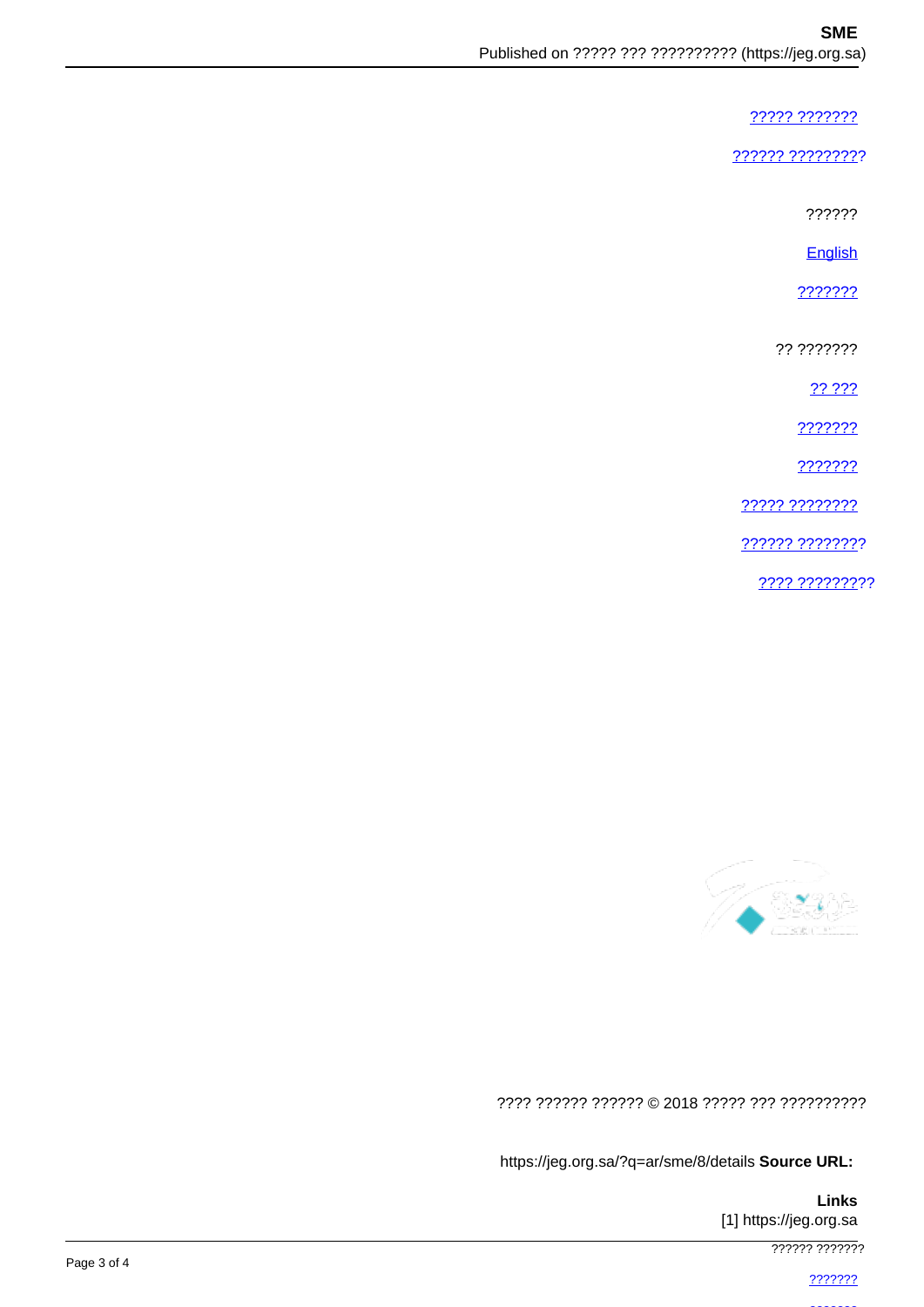## ????? ???????

?????? ?????????

??????

English

???????

?? ???????

?? ???

???????

???????

????? ????????

?????? ????????

???? ?????????



## ???? ?????? ?????? © 2018 ????? ??? ??????????

https://jeg.org.sa/?q=ar/sme/8/details Source URL:

**Links** [1] https://jeg.org.sa

777777 777777

2222222